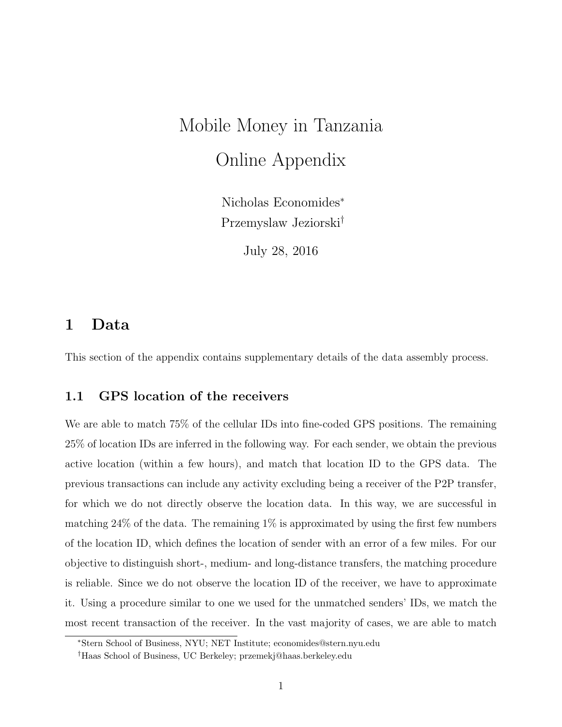# Mobile Money in Tanzania Online Appendix

Nicholas Economides<sup>∗</sup> Przemyslaw Jeziorski†

July 28, 2016

#### 1 Data

This section of the appendix contains supplementary details of the data assembly process.

#### 1.1 GPS location of the receivers

We are able to match 75% of the cellular IDs into fine-coded GPS positions. The remaining 25% of location IDs are inferred in the following way. For each sender, we obtain the previous active location (within a few hours), and match that location ID to the GPS data. The previous transactions can include any activity excluding being a receiver of the P2P transfer, for which we do not directly observe the location data. In this way, we are successful in matching 24% of the data. The remaining 1% is approximated by using the first few numbers of the location ID, which defines the location of sender with an error of a few miles. For our objective to distinguish short-, medium- and long-distance transfers, the matching procedure is reliable. Since we do not observe the location ID of the receiver, we have to approximate it. Using a procedure similar to one we used for the unmatched senders' IDs, we match the most recent transaction of the receiver. In the vast majority of cases, we are able to match

<sup>∗</sup>Stern School of Business, NYU; NET Institute; economides@stern.nyu.edu

<sup>†</sup>Haas School of Business, UC Berkeley; przemekj@haas.berkeley.edu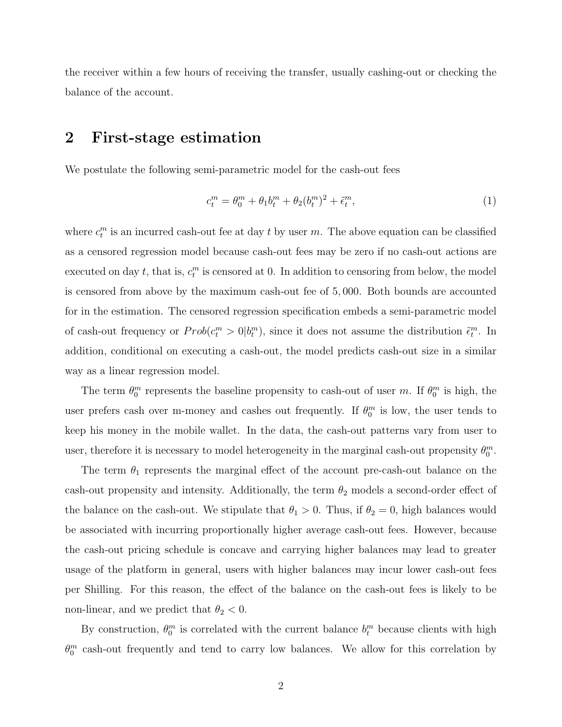the receiver within a few hours of receiving the transfer, usually cashing-out or checking the balance of the account.

#### 2 First-stage estimation

We postulate the following semi-parametric model for the cash-out fees

<span id="page-1-0"></span>
$$
c_t^m = \theta_0^m + \theta_1 b_t^m + \theta_2 (b_t^m)^2 + \tilde{\epsilon}_t^m,
$$
\n(1)

where  $c_t^m$  is an incurred cash-out fee at day t by user m. The above equation can be classified as a censored regression model because cash-out fees may be zero if no cash-out actions are executed on day  $t$ , that is,  $c_t^m$  is censored at 0. In addition to censoring from below, the model is censored from above by the maximum cash-out fee of 5, 000. Both bounds are accounted for in the estimation. The censored regression specification embeds a semi-parametric model of cash-out frequency or  $Prob(c_t^m > 0 | b_t^m)$ , since it does not assume the distribution  $\tilde{\epsilon}_t^m$ . In addition, conditional on executing a cash-out, the model predicts cash-out size in a similar way as a linear regression model.

The term  $\theta_0^m$  represents the baseline propensity to cash-out of user m. If  $\theta_0^m$  is high, the user prefers cash over m-money and cashes out frequently. If  $\theta_0^m$  is low, the user tends to keep his money in the mobile wallet. In the data, the cash-out patterns vary from user to user, therefore it is necessary to model heterogeneity in the marginal cash-out propensity  $\theta_0^m$ .

The term  $\theta_1$  represents the marginal effect of the account pre-cash-out balance on the cash-out propensity and intensity. Additionally, the term  $\theta_2$  models a second-order effect of the balance on the cash-out. We stipulate that  $\theta_1 > 0$ . Thus, if  $\theta_2 = 0$ , high balances would be associated with incurring proportionally higher average cash-out fees. However, because the cash-out pricing schedule is concave and carrying higher balances may lead to greater usage of the platform in general, users with higher balances may incur lower cash-out fees per Shilling. For this reason, the effect of the balance on the cash-out fees is likely to be non-linear, and we predict that  $\theta_2 < 0$ .

By construction,  $\theta_0^m$  is correlated with the current balance  $b_t^m$  because clients with high  $\theta_0^m$  cash-out frequently and tend to carry low balances. We allow for this correlation by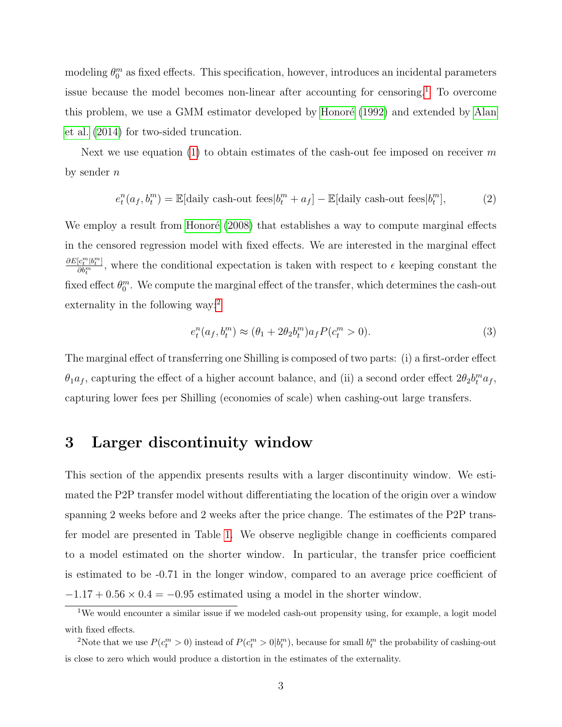modeling  $\theta_0^m$  as fixed effects. This specification, however, introduces an incidental parameters issue because the model becomes non-linear after accounting for censoring.[1](#page-2-0) To overcome this problem, we use a GMM estimator developed by Honoré [\(1992\)](#page-6-0) and extended by [Alan](#page-6-1) [et al.](#page-6-1) [\(2014\)](#page-6-1) for two-sided truncation.

Next we use equation [\(1\)](#page-1-0) to obtain estimates of the cash-out fee imposed on receiver  $m$ by sender n

$$
e_t^n(a_f, b_t^m) = \mathbb{E}[\text{daily cash-out fees}|b_t^m + a_f] - \mathbb{E}[\text{daily cash-out fees}|b_t^m],\tag{2}
$$

We employ a result from Honoré [\(2008\)](#page-6-2) that establishes a way to compute marginal effects in the censored regression model with fixed effects. We are interested in the marginal effect  $\partial E[c_t^m|b_t^m]$  $\frac{\partial \hat{c}_i^{\text{ref}}(\hat{\theta}_i^{\text{ref}})}{\partial b_i^m}$ , where the conditional expectation is taken with respect to  $\epsilon$  keeping constant the fixed effect  $\theta_0^m$ . We compute the marginal effect of the transfer, which determines the cash-out externality in the following way:[2](#page-2-1)

$$
e_t^n(a_f, b_t^m) \approx (\theta_1 + 2\theta_2 b_t^m) a_f P(c_t^m > 0).
$$
\n(3)

The marginal effect of transferring one Shilling is composed of two parts: (i) a first-order effect  $\theta_1 a_f$ , capturing the effect of a higher account balance, and (ii) a second order effect  $2\theta_2 b_t^m a_f$ , capturing lower fees per Shilling (economies of scale) when cashing-out large transfers.

#### 3 Larger discontinuity window

This section of the appendix presents results with a larger discontinuity window. We estimated the P2P transfer model without differentiating the location of the origin over a window spanning 2 weeks before and 2 weeks after the price change. The estimates of the P2P transfer model are presented in Table [1.](#page-3-0) We observe negligible change in coefficients compared to a model estimated on the shorter window. In particular, the transfer price coefficient is estimated to be -0.71 in the longer window, compared to an average price coefficient of  $-1.17 + 0.56 \times 0.4 = -0.95$  estimated using a model in the shorter window.

<span id="page-2-0"></span><sup>&</sup>lt;sup>1</sup>We would encounter a similar issue if we modeled cash-out propensity using, for example, a logit model with fixed effects.

<span id="page-2-1"></span><sup>&</sup>lt;sup>2</sup>Note that we use  $P(c_t^m > 0)$  instead of  $P(c_t^m > 0 | b_t^m)$ , because for small  $b_t^m$  the probability of cashing-out is close to zero which would produce a distortion in the estimates of the externality.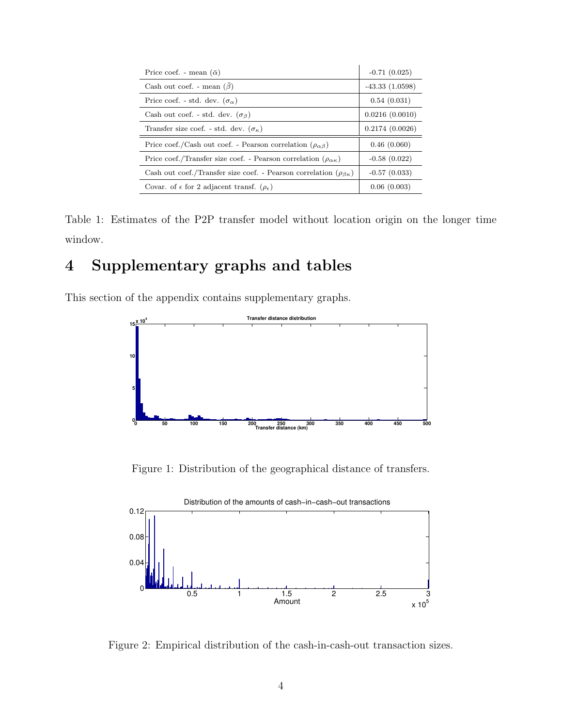| Price coef. - mean $(\bar{\alpha})$                                               | $-0.71(0.025)$   |
|-----------------------------------------------------------------------------------|------------------|
| Cash out coef. - mean $(\beta)$                                                   | $-43.33(1.0598)$ |
| Price coef. - std. dev. $(\sigma_{\alpha})$                                       | 0.54(0.031)      |
| Cash out coef. - std. dev. $(\sigma_{\beta})$                                     | 0.0216(0.0010)   |
| Transfer size coef. - std. dev. $(\sigma_{\kappa})$                               | 0.2174(0.0026)   |
| Price coef./Cash out coef. - Pearson correlation $(\rho_{\alpha\beta})$           | 0.46(0.060)      |
| Price coef./Transfer size coef. - Pearson correlation ( $\rho_{\alpha\kappa}$ )   | $-0.58(0.022)$   |
| Cash out coef./Transfer size coef. - Pearson correlation ( $\rho_{\beta\kappa}$ ) | $-0.57(0.033)$   |
| Covar. of $\epsilon$ for 2 adjacent transf. $(\rho_{\epsilon})$                   | 0.06(0.003)      |

<span id="page-3-0"></span>Table 1: Estimates of the P2P transfer model without location origin on the longer time window.

## 4 Supplementary graphs and tables

This section of the appendix contains supplementary graphs.



Figure 1: Distribution of the geographical distance of transfers.



Figure 2: Empirical distribution of the cash-in-cash-out transaction sizes.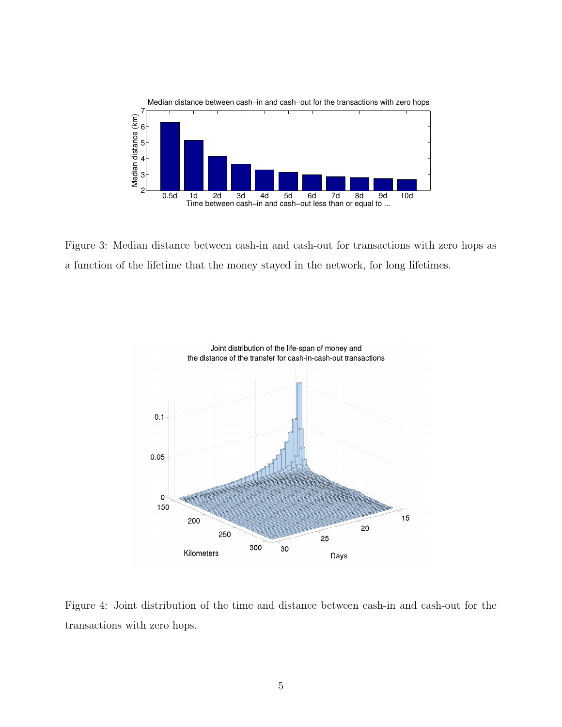

Figure 3: Median distance between cash-in and cash-out for transactions with zero hops as a function of the lifetime that the money stayed in the network, for long lifetimes.



Figure 4: Joint distribution of the time and distance between cash-in and cash-out for the transactions with zero hops.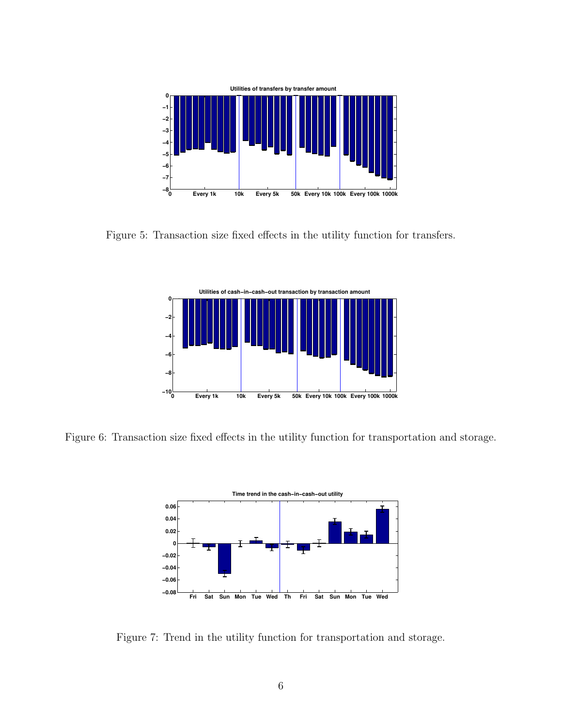

Figure 5: Transaction size fixed effects in the utility function for transfers.



Figure 6: Transaction size fixed effects in the utility function for transportation and storage.



Figure 7: Trend in the utility function for transportation and storage.